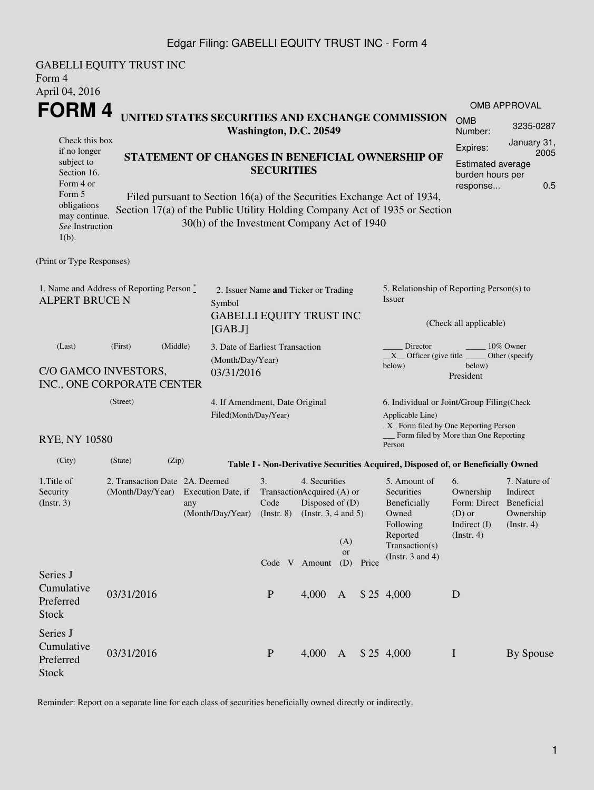## Edgar Filing: GABELLI EQUITY TRUST INC - Form 4

| Form 4<br>April 04, 2016                                                                                           | <b>GABELLI EQUITY TRUST INC</b>                                                                                                                                                                          |                                                                                             |                                                                                   |                                                                                              |                  |                        |                                                                                                                               |                                                                                   |                                                                                |  |
|--------------------------------------------------------------------------------------------------------------------|----------------------------------------------------------------------------------------------------------------------------------------------------------------------------------------------------------|---------------------------------------------------------------------------------------------|-----------------------------------------------------------------------------------|----------------------------------------------------------------------------------------------|------------------|------------------------|-------------------------------------------------------------------------------------------------------------------------------|-----------------------------------------------------------------------------------|--------------------------------------------------------------------------------|--|
|                                                                                                                    |                                                                                                                                                                                                          |                                                                                             |                                                                                   |                                                                                              |                  |                        |                                                                                                                               |                                                                                   | <b>OMB APPROVAL</b>                                                            |  |
| <b>FORM4</b><br>UNITED STATES SECURITIES AND EXCHANGE COMMISSION<br>Washington, D.C. 20549                         |                                                                                                                                                                                                          |                                                                                             |                                                                                   |                                                                                              |                  |                        |                                                                                                                               | <b>OMB</b><br>Number:                                                             | 3235-0287                                                                      |  |
| Check this box<br>if no longer<br>subject to<br>Section 16.<br>Form 4 or<br>Form 5<br>obligations<br>may continue. | STATEMENT OF CHANGES IN BENEFICIAL OWNERSHIP OF<br>Filed pursuant to Section 16(a) of the Securities Exchange Act of 1934,<br>Section 17(a) of the Public Utility Holding Company Act of 1935 or Section | January 31,<br>Expires:<br>2005<br>Estimated average<br>burden hours per<br>0.5<br>response |                                                                                   |                                                                                              |                  |                        |                                                                                                                               |                                                                                   |                                                                                |  |
| See Instruction<br>$1(b)$ .                                                                                        |                                                                                                                                                                                                          | 30(h) of the Investment Company Act of 1940                                                 |                                                                                   |                                                                                              |                  |                        |                                                                                                                               |                                                                                   |                                                                                |  |
| (Print or Type Responses)                                                                                          |                                                                                                                                                                                                          |                                                                                             |                                                                                   |                                                                                              |                  |                        |                                                                                                                               |                                                                                   |                                                                                |  |
| 1. Name and Address of Reporting Person $\stackrel{*}{\text{-}}$<br><b>ALPERT BRUCE N</b>                          |                                                                                                                                                                                                          |                                                                                             | 2. Issuer Name and Ticker or Trading<br>Symbol<br><b>GABELLI EQUITY TRUST INC</b> |                                                                                              |                  |                        | 5. Relationship of Reporting Person(s) to<br>Issuer                                                                           |                                                                                   |                                                                                |  |
|                                                                                                                    |                                                                                                                                                                                                          | [GAB.J]                                                                                     |                                                                                   |                                                                                              |                  | (Check all applicable) |                                                                                                                               |                                                                                   |                                                                                |  |
| (Middle)<br>(First)<br>(Last)<br>C/O GAMCO INVESTORS,<br>INC., ONE CORPORATE CENTER                                |                                                                                                                                                                                                          |                                                                                             | 3. Date of Earliest Transaction<br>(Month/Day/Year)<br>03/31/2016                 |                                                                                              |                  |                        | Director<br>10% Owner<br>$X$ Officer (give title $\overline{\phantom{a}}$<br>Other (specify)<br>below)<br>below)<br>President |                                                                                   |                                                                                |  |
|                                                                                                                    | (Street)                                                                                                                                                                                                 |                                                                                             | 4. If Amendment, Date Original<br>Filed(Month/Day/Year)                           |                                                                                              |                  |                        | 6. Individual or Joint/Group Filing(Check<br>Applicable Line)<br>_X_ Form filed by One Reporting Person                       |                                                                                   |                                                                                |  |
| <b>RYE, NY 10580</b>                                                                                               |                                                                                                                                                                                                          |                                                                                             |                                                                                   |                                                                                              |                  |                        | Form filed by More than One Reporting<br>Person                                                                               |                                                                                   |                                                                                |  |
| (City)                                                                                                             | (State)<br>(Zip)                                                                                                                                                                                         |                                                                                             |                                                                                   |                                                                                              |                  |                        | Table I - Non-Derivative Securities Acquired, Disposed of, or Beneficially Owned                                              |                                                                                   |                                                                                |  |
| 1. Title of<br>Security<br>$($ lnstr. 3 $)$                                                                        | 2. Transaction Date 2A. Deemed<br>(Month/Day/Year) Execution Date, if                                                                                                                                    | any<br>(Month/Day/Year)                                                                     | 3.<br>Code<br>$($ Instr. $8)$                                                     | 4. Securities<br>TransactionAcquired (A) or<br>Disposed of $(D)$<br>(Instr. $3, 4$ and $5$ ) | (A)<br><b>or</b> |                        | 5. Amount of<br>Securities<br>Beneficially<br>Owned<br>Following<br>Reported<br>Transaction(s)                                | 6.<br>Ownership<br>Form: Direct<br>$(D)$ or<br>Indirect $(I)$<br>$($ Instr. 4 $)$ | 7. Nature of<br>Indirect<br><b>Beneficial</b><br>Ownership<br>$($ Instr. 4 $)$ |  |
| Series J<br>Cumulative<br>Preferred<br><b>Stock</b>                                                                | 03/31/2016                                                                                                                                                                                               |                                                                                             | $\mathbf{P}$                                                                      | Code V Amount<br>4,000                                                                       | (D)<br>A         | Price                  | (Instr. $3$ and $4$ )<br>\$25, 4,000                                                                                          | D                                                                                 |                                                                                |  |
| Series J<br>Cumulative<br>Preferred<br><b>Stock</b>                                                                | 03/31/2016                                                                                                                                                                                               |                                                                                             | $\mathbf{P}$                                                                      | 4,000                                                                                        | $\mathbf{A}$     |                        | \$25, 4,000                                                                                                                   | $\mathbf I$                                                                       | By Spouse                                                                      |  |

Reminder: Report on a separate line for each class of securities beneficially owned directly or indirectly.